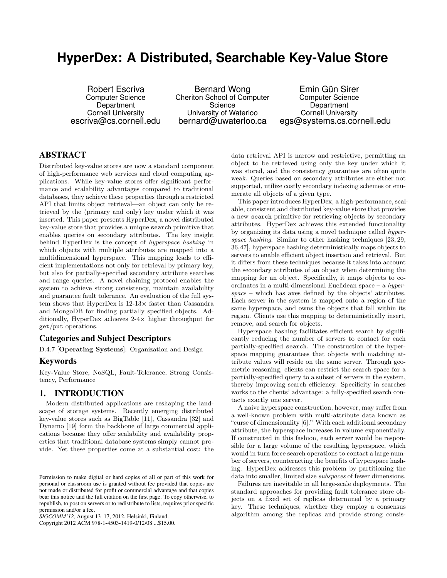# **HyperDex: A Distributed, Searchable Key-Value Store**

Robert Escriva Computer Science Department Cornell University escriva@cs.cornell.edu

Bernard Wong Cheriton School of Computer Science University of Waterloo bernard@uwaterloo.ca

Emin Gün Sirer Computer Science Department Cornell University egs@systems.cs.cornell.edu

# ABSTRACT

Distributed key-value stores are now a standard component of high-performance web services and cloud computing applications. While key-value stores offer significant performance and scalability advantages compared to traditional databases, they achieve these properties through a restricted API that limits object retrieval—an object can only be retrieved by the (primary and only) key under which it was inserted. This paper presents HyperDex, a novel distributed key-value store that provides a unique search primitive that enables queries on secondary attributes. The key insight behind HyperDex is the concept of hyperspace hashing in which objects with multiple attributes are mapped into a multidimensional hyperspace. This mapping leads to efficient implementations not only for retrieval by primary key, but also for partially-specified secondary attribute searches and range queries. A novel chaining protocol enables the system to achieve strong consistency, maintain availability and guarantee fault tolerance. An evaluation of the full system shows that HyperDex is  $12-13\times$  faster than Cassandra and MongoDB for finding partially specified objects. Additionally, HyperDex achieves  $2-4\times$  higher throughput for get/put operations.

#### Categories and Subject Descriptors

D.4.7 [Operating Systems]: Organization and Design

#### Keywords

Key-Value Store, NoSQL, Fault-Tolerance, Strong Consistency, Performance

## 1. INTRODUCTION

Modern distributed applications are reshaping the landscape of storage systems. Recently emerging distributed key-value stores such as BigTable [11], Cassandra [32] and Dynamo [19] form the backbone of large commercial applications because they offer scalability and availability properties that traditional database systems simply cannot provide. Yet these properties come at a substantial cost: the

Copyright 2012 ACM 978-1-4503-1419-0/12/08 ...\$15.00.

data retrieval API is narrow and restrictive, permitting an object to be retrieved using only the key under which it was stored, and the consistency guarantees are often quite weak. Queries based on secondary attributes are either not supported, utilize costly secondary indexing schemes or enumerate all objects of a given type.

This paper introduces HyperDex, a high-performance, scalable, consistent and distributed key-value store that provides a new search primitive for retrieving objects by secondary attributes. HyperDex achieves this extended functionality by organizing its data using a novel technique called hyperspace hashing. Similar to other hashing techniques [23, 29, 36,47], hyperspace hashing deterministically maps objects to servers to enable efficient object insertion and retrieval. But it differs from these techniques because it takes into account the secondary attributes of an object when determining the mapping for an object. Specifically, it maps objects to coordinates in a multi-dimensional Euclidean space – a hyperspace – which has axes defined by the objects' attributes. Each server in the system is mapped onto a region of the same hyperspace, and owns the objects that fall within its region. Clients use this mapping to deterministically insert, remove, and search for objects.

Hyperspace hashing facilitates efficient search by significantly reducing the number of servers to contact for each partially-specified search. The construction of the hyperspace mapping guarantees that objects with matching attribute values will reside on the same server. Through geometric reasoning, clients can restrict the search space for a partially-specified query to a subset of servers in the system, thereby improving search efficiency. Specificity in searches works to the clients' advantage: a fully-specified search contacts exactly one server.

A naive hyperspace construction, however, may suffer from a well-known problem with multi-attribute data known as "curse of dimensionality [6]." With each additional secondary attribute, the hyperspace increases in volume exponentially. If constructed in this fashion, each server would be responsible for a large volume of the resulting hyperspace, which would in turn force search operations to contact a large number of servers, counteracting the benefits of hyperspace hashing. HyperDex addresses this problem by partitioning the data into smaller, limited size subspaces of fewer dimensions.

Failures are inevitable in all large-scale deployments. The standard approaches for providing fault tolerance store objects on a fixed set of replicas determined by a primary key. These techniques, whether they employ a consensus algorithm among the replicas and provide strong consis-

Permission to make digital or hard copies of all or part of this work for personal or classroom use is granted without fee provided that copies are not made or distributed for profit or commercial advantage and that copies bear this notice and the full citation on the first page. To copy otherwise, to republish, to post on servers or to redistribute to lists, requires prior specific permission and/or a fee.

*SIGCOMM'12,* August 13–17, 2012, Helsinki, Finland.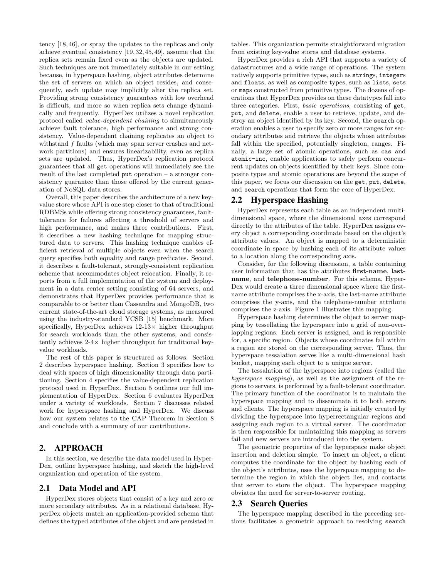tency [18, 46], or spray the updates to the replicas and only achieve eventual consistency [19, 32, 45, 49], assume that the replica sets remain fixed even as the objects are updated. Such techniques are not immediately suitable in our setting because, in hyperspace hashing, object attributes determine the set of servers on which an object resides, and consequently, each update may implicitly alter the replica set. Providing strong consistency guarantees with low overhead is difficult, and more so when replica sets change dynamically and frequently. HyperDex utilizes a novel replication protocol called value-dependent chaining to simultaneously achieve fault tolerance, high performance and strong consistency. Value-dependent chaining replicates an object to withstand  $f$  faults (which may span server crashes and network partitions) and ensures linearizability, even as replica sets are updated. Thus, HyperDex's replication protocol guarantees that all get operations will immediately see the result of the last completed put operation – a stronger consistency guarantee than those offered by the current generation of NoSQL data stores.

Overall, this paper describes the architecture of a new keyvalue store whose API is one step closer to that of traditional RDBMSs while offering strong consistency guarantees, faulttolerance for failures affecting a threshold of servers and high performance, and makes three contributions. First, it describes a new hashing technique for mapping structured data to servers. This hashing technique enables efficient retrieval of multiple objects even when the search query specifies both equality and range predicates. Second, it describes a fault-tolerant, strongly-consistent replication scheme that accommodates object relocation. Finally, it reports from a full implementation of the system and deployment in a data center setting consisting of 64 servers, and demonstrates that HyperDex provides performance that is comparable to or better than Cassandra and MongoDB, two current state-of-the-art cloud storage systems, as measured using the industry-standard YCSB [15] benchmark. More specifically, HyperDex achieves  $12-13\times$  higher throughput for search workloads than the other systems, and consistently achieves  $2-4\times$  higher throughput for traditional keyvalue workloads.

The rest of this paper is structured as follows: Section 2 describes hyperspace hashing. Section 3 specifies how to deal with spaces of high dimensionality through data partitioning. Section 4 specifies the value-dependent replication protocol used in HyperDex. Section 5 outlines our full implementation of HyperDex. Section 6 evaluates HyperDex under a variety of workloads. Section 7 discusses related work for hyperspace hashing and HyperDex. We discuss how our system relates to the CAP Theorem in Section 8 and conclude with a summary of our contributions.

#### 2. APPROACH

In this section, we describe the data model used in Hyper-Dex, outline hyperspace hashing, and sketch the high-level organization and operation of the system.

#### 2.1 Data Model and API

HyperDex stores objects that consist of a key and zero or more secondary attributes. As in a relational database, HyperDex objects match an application-provided schema that defines the typed attributes of the object and are persisted in tables. This organization permits straightforward migration from existing key-value stores and database systems.

HyperDex provides a rich API that supports a variety of datastructures and a wide range of operations. The system natively supports primitive types, such as strings, integers and floats, as well as composite types, such as lists, sets or maps constructed from primitive types. The dozens of operations that HyperDex provides on these datatypes fall into three categories. First, basic operations, consisting of get, put, and delete, enable a user to retrieve, update, and destroy an object identified by its key. Second, the search operation enables a user to specify zero or more ranges for secondary attributes and retrieve the objects whose attributes fall within the specified, potentially singleton, ranges. Finally, a large set of atomic operations, such as cas and atomic-inc, enable applications to safely perform concurrent updates on objects identified by their keys. Since composite types and atomic operations are beyond the scope of this paper, we focus our discussion on the get, put, delete, and search operations that form the core of HyperDex.

## 2.2 Hyperspace Hashing

HyperDex represents each table as an independent multidimensional space, where the dimensional axes correspond directly to the attributes of the table. HyperDex assigns every object a corresponding coordinate based on the object's attribute values. An object is mapped to a deterministic coordinate in space by hashing each of its attribute values to a location along the corresponding axis.

Consider, for the following discussion, a table containing user information that has the attributes first-name, lastname, and telephone-number. For this schema, Hyper-Dex would create a three dimensional space where the firstname attribute comprises the x-axis, the last-name attribute comprises the y-axis, and the telephone-number attribute comprises the z-axis. Figure 1 illustrates this mapping.

Hyperspace hashing determines the object to server mapping by tessellating the hyperspace into a grid of non-overlapping regions. Each server is assigned, and is responsible for, a specific region. Objects whose coordinates fall within a region are stored on the corresponding server. Thus, the hyperspace tessalation serves like a multi-dimensional hash bucket, mapping each object to a unique server.

The tessalation of the hyperspace into regions (called the hyperspace mapping), as well as the assignment of the regions to servers, is performed by a fault-tolerant coordinator. The primary function of the coordinator is to maintain the hyperspace mapping and to disseminate it to both servers and clients. The hyperspace mapping is initially created by dividing the hyperspace into hyperrectangular regions and assigning each region to a virtual server. The coordinator is then responsible for maintaining this mapping as servers fail and new servers are introduced into the system.

The geometric properties of the hyperspace make object insertion and deletion simple. To insert an object, a client computes the coordinate for the object by hashing each of the object's attributes, uses the hyperspace mapping to determine the region in which the object lies, and contacts that server to store the object. The hyperspace mapping obviates the need for server-to-server routing.

#### 2.3 Search Queries

The hyperspace mapping described in the preceding sections facilitates a geometric approach to resolving search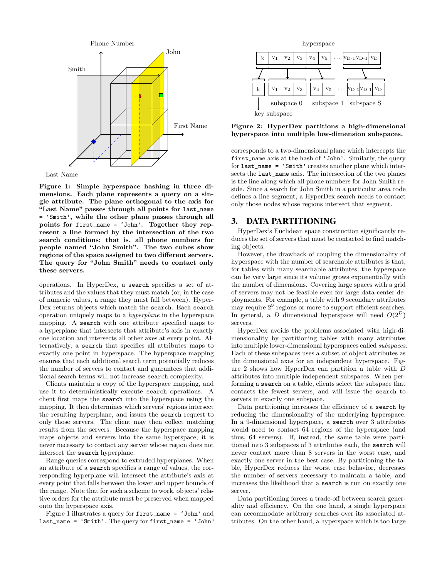

Last Name

Figure 1: Simple hyperspace hashing in three dimensions. Each plane represents a query on a single attribute. The plane orthogonal to the axis for "Last Name" passes through all points for last\_name = 'Smith', while the other plane passes through all points for first\_name = 'John'. Together they represent a line formed by the intersection of the two search conditions; that is, all phone numbers for people named "John Smith". The two cubes show regions of the space assigned to two different servers. The query for "John Smith" needs to contact only these servers.

operations. In HyperDex, a search specifies a set of attributes and the values that they must match (or, in the case of numeric values, a range they must fall between). Hyper-Dex returns objects which match the search. Each search operation uniquely maps to a hyperplane in the hyperspace mapping. A search with one attribute specified maps to a hyperplane that intersects that attribute's axis in exactly one location and intersects all other axes at every point. Alternatively, a search that specifies all attributes maps to exactly one point in hyperspace. The hyperspace mapping ensures that each additional search term potentially reduces the number of servers to contact and guarantees that additional search terms will not increase search complexity.

Clients maintain a copy of the hyperspace mapping, and use it to deterministically execute search operations. A client first maps the search into the hyperspace using the mapping. It then determines which servers' regions intersect the resulting hyperplane, and issues the search request to only those servers. The client may then collect matching results from the servers. Because the hyperspace mapping maps objects and servers into the same hyperspace, it is never necessary to contact any server whose region does not intersect the search hyperplane.

Range queries correspond to extruded hyperplanes. When an attribute of a search specifies a range of values, the corresponding hyperplane will intersect the attribute's axis at every point that falls between the lower and upper bounds of the range. Note that for such a scheme to work, objects' relative orders for the attribute must be preserved when mapped onto the hyperspace axis.

Figure 1 illustrates a query for first\_name = 'John' and last\_name = 'Smith'. The query for first\_name = 'John'



Figure 2: HyperDex partitions a high-dimensional hyperspace into multiple low-dimension subspaces.

corresponds to a two-dimensional plane which intercepts the first name axis at the hash of 'John'. Similarly, the query for last\_name = 'Smith' creates another plane which intersects the last\_name axis. The intersection of the two planes is the line along which all phone numbers for John Smith reside. Since a search for John Smith in a particular area code defines a line segment, a HyperDex search needs to contact only those nodes whose regions intersect that segment.

## 3. DATA PARTITIONING

HyperDex's Euclidean space construction significantly reduces the set of servers that must be contacted to find matching objects.

However, the drawback of coupling the dimensionality of hyperspace with the number of searchable attributes is that, for tables with many searchable attributes, the hyperspace can be very large since its volume grows exponentially with the number of dimensions. Covering large spaces with a grid of servers may not be feasible even for large data-center deployments. For example, a table with 9 secondary attributes may require  $2^9$  regions or more to support efficient searches. In general, a D dimensional hyperspace will need  $O(2^D)$ servers.

HyperDex avoids the problems associated with high-dimensionality by partitioning tables with many attributes into multiple lower-dimensional hyperspaces called subspaces. Each of these subspaces uses a subset of object attributes as the dimensional axes for an independent hyperspace. Figure 2 shows how HyperDex can partition a table with D attributes into multiple independent subspaces. When performing a search on a table, clients select the subspace that contacts the fewest servers, and will issue the search to servers in exactly one subspace.

Data partitioning increases the efficiency of a search by reducing the dimensionality of the underlying hyperspace. In a 9-dimensional hyperspace, a search over 3 attributes would need to contact 64 regions of the hyperspace (and thus, 64 servers). If, instead, the same table were partitioned into 3 subspaces of 3 attributes each, the search will never contact more than 8 servers in the worst case, and exactly one server in the best case. By partitioning the table, HyperDex reduces the worst case behavior, decreases the number of servers necessary to maintain a table, and increases the likelihood that a search is run on exactly one server.

Data partitioning forces a trade-off between search generality and efficiency. On the one hand, a single hyperspace can accommodate arbitrary searches over its associated attributes. On the other hand, a hyperspace which is too large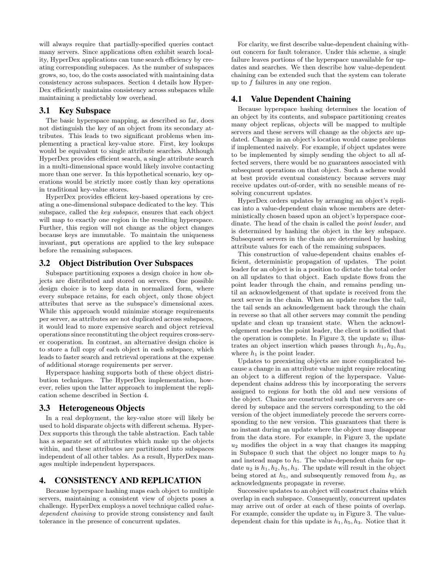will always require that partially-specified queries contact many servers. Since applications often exhibit search locality, HyperDex applications can tune search efficiency by creating corresponding subspaces. As the number of subspaces grows, so, too, do the costs associated with maintaining data consistency across subspaces. Section 4 details how Hyper-Dex efficiently maintains consistency across subspaces while maintaining a predictably low overhead.

#### 3.1 Key Subspace

The basic hyperspace mapping, as described so far, does not distinguish the key of an object from its secondary attributes. This leads to two significant problems when implementing a practical key-value store. First, key lookups would be equivalent to single attribute searches. Although HyperDex provides efficient search, a single attribute search in a multi-dimensional space would likely involve contacting more than one server. In this hypothetical scenario, key operations would be strictly more costly than key operations in traditional key-value stores.

HyperDex provides efficient key-based operations by creating a one-dimensional subspace dedicated to the key. This subspace, called the key subspace, ensures that each object will map to exactly one region in the resulting hyperspace. Further, this region will not change as the object changes because keys are immutable. To maintain the uniqueness invariant, put operations are applied to the key subspace before the remaining subspaces.

#### 3.2 Object Distribution Over Subspaces

Subspace partitioning exposes a design choice in how objects are distributed and stored on servers. One possible design choice is to keep data in normalized form, where every subspace retains, for each object, only those object attributes that serve as the subspace's dimensional axes. While this approach would minimize storage requirements per server, as attributes are not duplicated across subspaces, it would lead to more expensive search and object retrieval operations since reconstituting the object requires cross-server cooperation. In contrast, an alternative design choice is to store a full copy of each object in each subspace, which leads to faster search and retrieval operations at the expense of additional storage requirements per server.

Hyperspace hashing supports both of these object distribution techniques. The HyperDex implementation, however, relies upon the latter approach to implement the replication scheme described in Section 4.

### 3.3 Heterogeneous Objects

In a real deployment, the key-value store will likely be used to hold disparate objects with different schema. Hyper-Dex supports this through the table abstraction. Each table has a separate set of attributes which make up the objects within, and these attributes are partitioned into subspaces independent of all other tables. As a result, HyperDex manages multiple independent hyperspaces.

## 4. CONSISTENCY AND REPLICATION

Because hyperspace hashing maps each object to multiple servers, maintaining a consistent view of objects poses a challenge. HyperDex employs a novel technique called valuedependent chaining to provide strong consistency and fault tolerance in the presence of concurrent updates.

For clarity, we first describe value-dependent chaining without concern for fault tolerance. Under this scheme, a single failure leaves portions of the hyperspace unavailable for updates and searches. We then describe how value-dependent chaining can be extended such that the system can tolerate up to f failures in any one region.

## 4.1 Value Dependent Chaining

Because hyperspace hashing determines the location of an object by its contents, and subspace partitioning creates many object replicas, objects will be mapped to multiple servers and these servers will change as the objects are updated. Change in an object's location would cause problems if implemented naively. For example, if object updates were to be implemented by simply sending the object to all affected servers, there would be no guarantees associated with subsequent operations on that object. Such a scheme would at best provide eventual consistency because servers may receive updates out-of-order, with no sensible means of resolving concurrent updates.

HyperDex orders updates by arranging an object's replicas into a value-dependent chain whose members are deterministically chosen based upon an object's hyperspace coordinate. The head of the chain is called the *point leader*, and is determined by hashing the object in the key subspace. Subsequent servers in the chain are determined by hashing attribute values for each of the remaining subspaces.

This construction of value-dependent chains enables efficient, deterministic propagation of updates. The point leader for an object is in a position to dictate the total order on all updates to that object. Each update flows from the point leader through the chain, and remains pending until an acknowledgement of that update is received from the next server in the chain. When an update reaches the tail, the tail sends an acknowledgement back through the chain in reverse so that all other servers may commit the pending update and clean up transient state. When the acknowledgement reaches the point leader, the client is notified that the operation is complete. In Figure 3, the update  $u_1$  illustrates an object insertion which passes through  $h_1, h_2, h_3$ , where  $h_1$  is the point leader.

Updates to preexisting objects are more complicated because a change in an attribute value might require relocating an object to a different region of the hyperspace. Valuedependent chains address this by incorporating the servers assigned to regions for both the old and new versions of the object. Chains are constructed such that servers are ordered by subspace and the servers corresponding to the old version of the object immediately precede the servers corresponding to the new version. This guarantees that there is no instant during an update where the object may disappear from the data store. For example, in Figure 3, the update  $u_2$  modifies the object in a way that changes its mapping in Subspace 0 such that the object no longer maps to  $h_2$ and instead maps to  $h_5$ . The value-dependent chain for update  $u_2$  is  $h_1, h_2, h_5, h_3$ . The update will result in the object being stored at  $h_5$ , and subsequently removed from  $h_2$ , as acknowledgments propagate in reverse.

Successive updates to an object will construct chains which overlap in each subspace. Consequently, concurrent updates may arrive out of order at each of these points of overlap. For example, consider the update  $u_3$  in Figure 3. The valuedependent chain for this update is  $h_1, h_5, h_3$ . Notice that it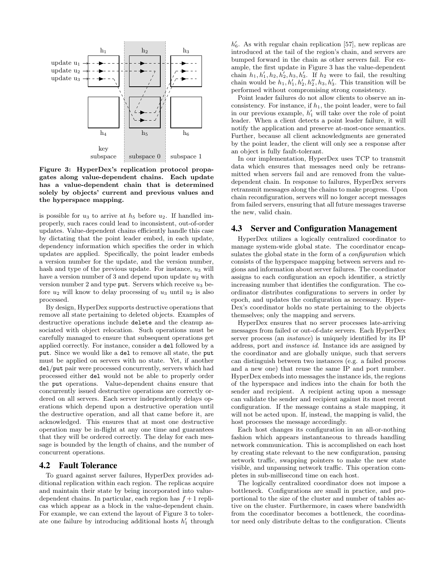

Figure 3: HyperDex's replication protocol propagates along value-dependent chains. Each update has a value-dependent chain that is determined solely by objects' current and previous values and the hyperspace mapping.

is possible for  $u_3$  to arrive at  $h_5$  before  $u_2$ . If handled improperly, such races could lead to inconsistent, out-of-order updates. Value-dependent chains efficiently handle this case by dictating that the point leader embed, in each update, dependency information which specifies the order in which updates are applied. Specifically, the point leader embeds a version number for the update, and the version number, hash and type of the previous update. For instance,  $u_3$  will have a version number of 3 and depend upon update  $u_2$  with version number 2 and type put. Servers which receive  $u_3$  before  $u_2$  will know to delay processing of  $u_3$  until  $u_2$  is also processed.

By design, HyperDex supports destructive operations that remove all state pertaining to deleted objects. Examples of destructive operations include delete and the cleanup associated with object relocation. Such operations must be carefully managed to ensure that subsequent operations get applied correctly. For instance, consider a del followed by a put. Since we would like a del to remove all state, the put must be applied on servers with no state. Yet, if another del/put pair were processed concurrently, servers which had processed either del would not be able to properly order the put operations. Value-dependent chains ensure that concurrently issued destructive operations are correctly ordered on all servers. Each server independently delays operations which depend upon a destructive operation until the destructive operation, and all that came before it, are acknowledged. This ensures that at most one destructive operation may be in-flight at any one time and guarantees that they will be ordered correctly. The delay for each message is bounded by the length of chains, and the number of concurrent operations.

## 4.2 Fault Tolerance

To guard against server failures, HyperDex provides additional replication within each region. The replicas acquire and maintain their state by being incorporated into valuedependent chains. In particular, each region has  $f + 1$  replicas which appear as a block in the value-dependent chain. For example, we can extend the layout of Figure 3 to tolerate one failure by introducing additional hosts  $h'_1$  through

 $h'_6$ . As with regular chain replication [57], new replicas are introduced at the tail of the region's chain, and servers are bumped forward in the chain as other servers fail. For example, the first update in Figure 3 has the value-dependent chain  $h_1, h'_1, h_2, h'_2, h_3, h'_3$ . If  $h_2$  were to fail, the resulting chain would be  $h_1, h'_1, h'_2, h''_3, h_3$ . This transition will be performed without compromising strong consistency.

Point leader failures do not allow clients to observe an inconsistency. For instance, if  $h_1$ , the point leader, were to fail in our previous example,  $h'_1$  will take over the role of point leader. When a client detects a point leader failure, it will notify the application and preserve at-most-once semantics. Further, because all client acknowledgments are generated by the point leader, the client will only see a response after an object is fully fault-tolerant.

In our implementation, HyperDex uses TCP to transmit data which ensures that messages need only be retransmitted when servers fail and are removed from the valuedependent chain. In response to failures, HyperDex servers retransmit messages along the chains to make progress. Upon chain reconfiguration, servers will no longer accept messages from failed servers, ensuring that all future messages traverse the new, valid chain.

#### 4.3 Server and Configuration Management

HyperDex utilizes a logically centralized coordinator to manage system-wide global state. The coordinator encapsulates the global state in the form of a *configuration* which consists of the hyperspace mapping between servers and regions and information about server failures. The coordinator assigns to each configuration an epoch identifier, a strictly increasing number that identifies the configuration. The coordinator distributes configurations to servers in order by epoch, and updates the configuration as necessary. Hyper-Dex's coordinator holds no state pertaining to the objects themselves; only the mapping and servers.

HyperDex ensures that no server processes late-arriving messages from failed or out-of-date servers. Each HyperDex server process (an instance) is uniquely identified by its IP address, port and instance id. Instance ids are assigned by the coordinator and are globally unique, such that servers can distinguish between two instances (e.g. a failed process and a new one) that reuse the same IP and port number. HyperDex embeds into messages the instance ids, the regions of the hyperspace and indices into the chain for both the sender and recipient. A recipient acting upon a message can validate the sender and recipient against its most recent configuration. If the message contains a stale mapping, it will not be acted upon. If, instead, the mapping is valid, the host processes the message accordingly.

Each host changes its configuration in an all-or-nothing fashion which appears instantaneous to threads handling network communication. This is accomplished on each host by creating state relevant to the new configuration, pausing network traffic, swapping pointers to make the new state visible, and unpausing network traffic. This operation completes in sub-millisecond time on each host.

The logically centralized coordinator does not impose a bottleneck. Configurations are small in practice, and proportional to the size of the cluster and number of tables active on the cluster. Furthermore, in cases where bandwidth from the coordinator becomes a bottleneck, the coordinator need only distribute deltas to the configuration. Clients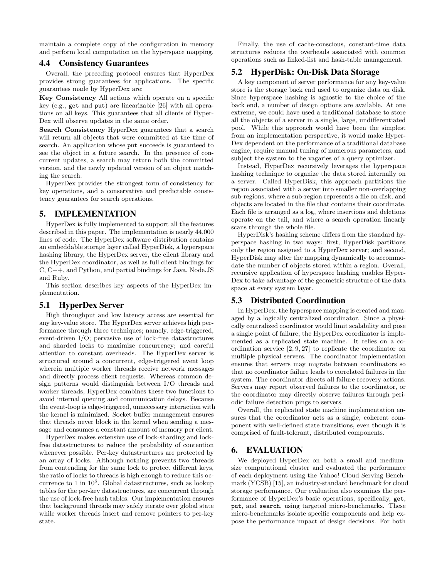maintain a complete copy of the configuration in memory and perform local computation on the hyperspace mapping.

## 4.4 Consistency Guarantees

Overall, the preceding protocol ensures that HyperDex provides strong guarantees for applications. The specific guarantees made by HyperDex are:

Key Consistency All actions which operate on a specific key (e.g., get and put) are linearizable [26] with all operations on all keys. This guarantees that all clients of Hyper-Dex will observe updates in the same order.

Search Consistency HyperDex guarantees that a search will return all objects that were committed at the time of search. An application whose put succeeds is guaranteed to see the object in a future search. In the presence of concurrent updates, a search may return both the committed version, and the newly updated version of an object matching the search.

HyperDex provides the strongest form of consistency for key operations, and a conservative and predictable consistency guarantees for search operations.

## 5. IMPLEMENTATION

HyperDex is fully implemented to support all the features described in this paper. The implementation is nearly 44,000 lines of code. The HyperDex software distribution contains an embeddable storage layer called HyperDisk, a hyperspace hashing library, the HyperDex server, the client library and the HyperDex coordinator, as well as full client bindings for C, C++, and Python, and partial bindings for Java, Node.JS and Ruby.

This section describes key aspects of the HyperDex implementation.

#### 5.1 HyperDex Server

High throughput and low latency access are essential for any key-value store. The HyperDex server achieves high performance through three techniques; namely, edge-triggered, event-driven I/O; pervasive use of lock-free datastructures and sharded locks to maximize concurrency; and careful attention to constant overheads. The HyperDex server is structured around a concurrent, edge-triggered event loop wherein multiple worker threads receive network messages and directly process client requests. Whereas common design patterns would distinguish between I/O threads and worker threads, HyperDex combines these two functions to avoid internal queuing and communication delays. Because the event-loop is edge-triggered, unnecessary interaction with the kernel is minimized. Socket buffer management ensures that threads never block in the kernel when sending a message and consumes a constant amount of memory per client.

HyperDex makes extensive use of lock-sharding and lockfree datastructures to reduce the probability of contention whenever possible. Per-key datastructures are protected by an array of locks. Although nothing prevents two threads from contending for the same lock to protect different keys, the ratio of locks to threads is high enough to reduce this occurrence to 1 in  $10^6$ . Global datastructures, such as lookup tables for the per-key datastructures, are concurrent through the use of lock-free hash tables. Our implementation ensures that background threads may safely iterate over global state while worker threads insert and remove pointers to per-key state.

Finally, the use of cache-conscious, constant-time data structures reduces the overheads associated with common operations such as linked-list and hash-table management.

## 5.2 HyperDisk: On-Disk Data Storage

A key component of server performance for any key-value store is the storage back end used to organize data on disk. Since hyperspace hashing is agnostic to the choice of the back end, a number of design options are available. At one extreme, we could have used a traditional database to store all the objects of a server in a single, large, undifferentiated pool. While this approach would have been the simplest from an implementation perspective, it would make Hyper-Dex dependent on the performance of a traditional database engine, require manual tuning of numerous parameters, and subject the system to the vagaries of a query optimizer.

Instead, HyperDex recursively leverages the hyperspace hashing technique to organize the data stored internally on a server. Called HyperDisk, this approach partitions the region associated with a server into smaller non-overlapping sub-regions, where a sub-region represents a file on disk, and objects are located in the file that contains their coordinate. Each file is arranged as a log, where insertions and deletions operate on the tail, and where a search operation linearly scans through the whole file.

HyperDisk's hashing scheme differs from the standard hyperspace hashing in two ways: first, HyperDisk partitions only the region assigned to a HyperDex server; and second, HyperDisk may alter the mapping dynamically to accommodate the number of objects stored within a region. Overall, recursive application of hyperspace hashing enables Hyper-Dex to take advantage of the geometric structure of the data space at every system layer.

### 5.3 Distributed Coordination

In HyperDex, the hyperspace mapping is created and managed by a logically centralized coordinator. Since a physically centralized coordinator would limit scalability and pose a single point of failure, the HyperDex coordinator is implemented as a replicated state machine. It relies on a coordination service [2, 9, 27] to replicate the coordinator on multiple physical servers. The coordinator implementation ensures that servers may migrate between coordinators so that no coordinator failure leads to correlated failures in the system. The coordinator directs all failure recovery actions. Servers may report observed failures to the coordinator, or the coordinator may directly observe failures through periodic failure detection pings to servers.

Overall, the replicated state machine implementation ensures that the coordinator acts as a single, coherent component with well-defined state transitions, even though it is comprised of fault-tolerant, distributed components.

#### 6. EVALUATION

We deployed HyperDex on both a small and mediumsize computational cluster and evaluated the performance of each deployment using the Yahoo! Cloud Serving Benchmark (YCSB) [15], an industry-standard benchmark for cloud storage performance. Our evaluation also examines the performance of HyperDex's basic operations, specifically, get, put, and search, using targeted micro-benchmarks. These micro-benchmarks isolate specific components and help expose the performance impact of design decisions. For both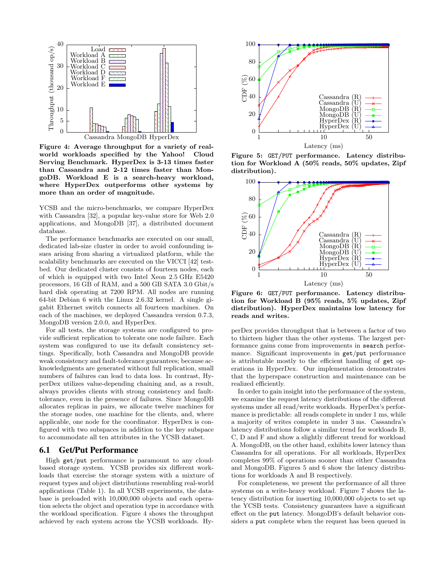

Figure 4: Average throughput for a variety of realworld workloads specified by the Yahoo! Cloud Serving Benchmark. HyperDex is 3-13 times faster than Cassandra and 2-12 times faster than MongoDB. Workload E is a search-heavy workload, where HyperDex outperforms other systems by more than an order of magnitude.

YCSB and the micro-benchmarks, we compare HyperDex with Cassandra [32], a popular key-value store for Web 2.0 applications, and MongoDB [37], a distributed document database.

The performance benchmarks are executed on our small, dedicated lab-size cluster in order to avoid confounding issues arising from sharing a virtualized platform, while the scalability benchmarks are executed on the VICCI [42] testbed. Our dedicated cluster consists of fourteen nodes, each of which is equipped with two Intel Xeon 2.5 GHz E5420 processors, 16 GB of RAM, and a 500 GB SATA 3.0 Gbit/s hard disk operating at 7200 RPM. All nodes are running 64-bit Debian 6 with the Linux 2.6.32 kernel. A single gigabit Ethernet switch connects all fourteen machines. On each of the machines, we deployed Cassandra version 0.7.3, MongoDB version 2.0.0, and HyperDex.

For all tests, the storage systems are configured to provide sufficient replication to tolerate one node failure. Each system was configured to use its default consistency settings. Specifically, both Cassandra and MongoDB provide weak consistency and fault-tolerance guarantees; because acknowledgments are generated without full replication, small numbers of failures can lead to data loss. In contrast, HyperDex utilizes value-depending chaining and, as a result, always provides clients with strong consistency and faulttolerance, even in the presence of failures. Since MongoDB allocates replicas in pairs, we allocate twelve machines for the storage nodes, one machine for the clients, and, where applicable, one node for the coordinator. HyperDex is configured with two subspaces in addition to the key subspace to accommodate all ten attributes in the YCSB dataset.

## 6.1 Get/Put Performance

High get/put performance is paramount to any cloudbased storage system. YCSB provides six different workloads that exercise the storage system with a mixture of request types and object distributions resembling real-world applications (Table 1). In all YCSB experiments, the database is preloaded with 10,000,000 objects and each operation selects the object and operation type in accordance with the workload specification. Figure 4 shows the throughput achieved by each system across the YCSB workloads. Hy-



Figure 5: GET/PUT performance. Latency distribution for Workload A (50% reads, 50% updates, Zipf distribution).



Figure 6: GET/PUT performance. Latency distribution for Workload B (95% reads, 5% updates, Zipf distribution). HyperDex maintains low latency for reads and writes.

perDex provides throughput that is between a factor of two to thirteen higher than the other systems. The largest performance gains come from improvements in search performance. Significant improvements in get/put performance is attributable mostly to the efficient handling of get operations in HyperDex. Our implementation demonstrates that the hyperspace construction and maintenance can be realized efficiently.

In order to gain insight into the performance of the system, we examine the request latency distributions of the different systems under all read/write workloads. HyperDex's performance is predictable: all reads complete in under 1 ms, while a majority of writes complete in under 3 ms. Cassandra's latency distributions follow a similar trend for workloads B, C, D and F and show a slightly different trend for workload A. MongoDB, on the other hand, exhibits lower latency than Cassandra for all operations. For all workloads, HyperDex completes 99% of operations sooner than either Cassandra and MongoDB. Figures 5 and 6 show the latency distributions for workloads A and B respectively.

For completeness, we present the performance of all three systems on a write-heavy workload. Figure 7 shows the latency distribution for inserting 10,000,000 objects to set up the YCSB tests. Consistency guarantees have a significant effect on the put latency. MongoDB's default behavior considers a put complete when the request has been queued in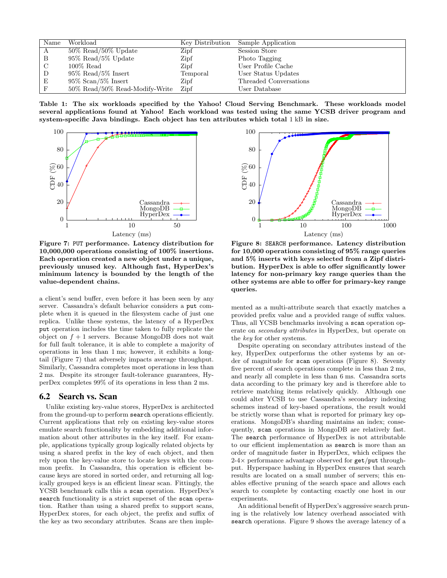| Name          | Workload                              | Key Distribution | Sample Application     |
|---------------|---------------------------------------|------------------|------------------------|
| А             | $50\%$ Read/ $50\%$ Update            | Zipf             | Session Store          |
| B             | 95% Read/5% Update                    | Zipf             | Photo Tagging          |
| $\mathcal{C}$ | $100\%$ Read                          | Zipf             | User Profile Cache     |
| D             | $95\%$ Read/5\% Insert                | Temporal         | User Status Updates    |
| Ε             | $95\%$ Scan/5\% Insert                | Zipf             | Threaded Conversations |
|               | $50\%$ Read/ $50\%$ Read-Modify-Write | Zipf             | User Database          |

Table 1: The six workloads specified by the Yahoo! Cloud Serving Benchmark. These workloads model several applications found at Yahoo! Each workload was tested using the same YCSB driver program and system-specific Java bindings. Each object has ten attributes which total  $1 \text{ kB}$  in size.



Figure 7: PUT performance. Latency distribution for 10,000,000 operations consisting of 100% insertions. Each operation created a new object under a unique, previously unused key. Although fast, HyperDex's minimum latency is bounded by the length of the value-dependent chains.

a client's send buffer, even before it has been seen by any server. Cassandra's default behavior considers a put complete when it is queued in the filesystem cache of just one replica. Unlike these systems, the latency of a HyperDex put operation includes the time taken to fully replicate the object on  $f + 1$  servers. Because MongoDB does not wait for full fault tolerance, it is able to complete a majority of operations in less than 1 ms; however, it exhibits a longtail (Figure 7) that adversely impacts average throughput. Similarly, Cassandra completes most operations in less than 2 ms. Despite its stronger fault-tolerance guarantees, HyperDex completes 99% of its operations in less than 2 ms.

#### 6.2 Search vs. Scan

Unlike existing key-value stores, HyperDex is architected from the ground-up to perform search operations efficiently. Current applications that rely on existing key-value stores emulate search functionality by embedding additional information about other attributes in the key itself. For example, applications typically group logically related objects by using a shared prefix in the key of each object, and then rely upon the key-value store to locate keys with the common prefix. In Cassandra, this operation is efficient because keys are stored in sorted order, and returning all logically grouped keys is an efficient linear scan. Fittingly, the YCSB benchmark calls this a scan operation. HyperDex's search functionality is a strict superset of the scan operation. Rather than using a shared prefix to support scans, HyperDex stores, for each object, the prefix and suffix of the key as two secondary attributes. Scans are then imple-



Figure 8: SEARCH performance. Latency distribution for 10,000 operations consisting of 95% range queries and 5% inserts with keys selected from a Zipf distribution. HyperDex is able to offer significantly lower latency for non-primary key range queries than the other systems are able to offer for primary-key range queries.

mented as a multi-attribute search that exactly matches a provided prefix value and a provided range of suffix values. Thus, all YCSB benchmarks involving a scan operation operate on secondary attributes in HyperDex, but operate on the key for other systems.

Despite operating on secondary attributes instead of the key, HyperDex outperforms the other systems by an order of magnitude for scan operations (Figure 8). Seventy five percent of search operations complete in less than 2 ms, and nearly all complete in less than 6 ms. Cassandra sorts data according to the primary key and is therefore able to retrieve matching items relatively quickly. Although one could alter YCSB to use Cassandra's secondary indexing schemes instead of key-based operations, the result would be strictly worse than what is reported for primary key operations. MongoDB's sharding maintains an index; consequently, scan operations in MongoDB are relatively fast. The search performance of HyperDex is not attributable to our efficient implementation as search is more than an order of magnitude faster in HyperDex, which eclipses the  $2-4\times$  performance advantage observed for get/put throughput. Hyperspace hashing in HyperDex ensures that search results are located on a small number of servers; this enables effective pruning of the search space and allows each search to complete by contacting exactly one host in our experiments.

An additional benefit of HyperDex's aggressive search pruning is the relatively low latency overhead associated with search operations. Figure 9 shows the average latency of a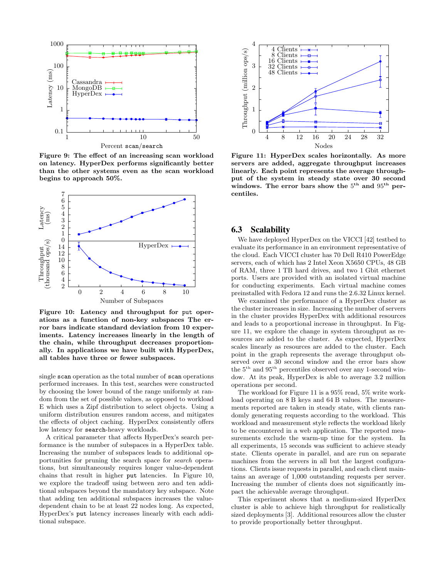

Figure 9: The effect of an increasing scan workload on latency. HyperDex performs significantly better than the other systems even as the scan workload begins to approach 50%.



Figure 10: Latency and throughput for put operations as a function of non-key subspaces The error bars indicate standard deviation from 10 experiments. Latency increases linearly in the length of the chain, while throughput decreases proportionally. In applications we have built with HyperDex, all tables have three or fewer subspaces.

single scan operation as the total number of scan operations performed increases. In this test, searches were constructed by choosing the lower bound of the range uniformly at random from the set of possible values, as opposed to workload E which uses a Zipf distribution to select objects. Using a uniform distribution ensures random access, and mitigates the effects of object caching. HyperDex consistently offers low latency for search-heavy workloads.

A critical parameter that affects HyperDex's search performance is the number of subspaces in a HyperDex table. Increasing the number of subspaces leads to additional opportunities for pruning the search space for search operations, but simultaneously requires longer value-dependent chains that result in higher put latencies. In Figure 10, we explore the tradeoff using between zero and ten additional subspaces beyond the mandatory key subspace. Note that adding ten additional subspaces increases the valuedependent chain to be at least 22 nodes long. As expected, HyperDex's put latency increases linearly with each additional subspace.



Figure 11: HyperDex scales horizontally. As more servers are added, aggregate throughput increases linearly. Each point represents the average throughput of the system in steady state over 30 second windows. The error bars show the  $5<sup>th</sup>$  and  $95<sup>th</sup>$  percentiles.

#### 6.3 Scalability

We have deployed HyperDex on the VICCI [42] testbed to evaluate its performance in an environment representative of the cloud. Each VICCI cluster has 70 Dell R410 PowerEdge servers, each of which has 2 Intel Xeon X5650 CPUs, 48 GB of RAM, three 1 TB hard drives, and two 1 Gbit ethernet ports. Users are provided with an isolated virtual machine for conducting experiments. Each virtual machine comes preinstalled with Fedora 12 and runs the 2.6.32 Linux kernel.

We examined the performance of a HyperDex cluster as the cluster increases in size. Increasing the number of servers in the cluster provides HyperDex with additional resources and leads to a proportional increase in throughput. In Figure 11, we explore the change in system throughput as resources are added to the cluster. As expected, HyperDex scales linearly as resources are added to the cluster. Each point in the graph represents the average throughput observed over a 30 second window and the error bars show the  $5<sup>th</sup>$  and  $95<sup>th</sup>$  percentiles observed over any 1-second window. At its peak, HyperDex is able to average 3.2 million operations per second.

The workload for Figure 11 is a 95% read, 5% write workload operating on 8 B keys and 64 B values. The measurements reported are taken in steady state, with clients randomly generating requests according to the workload. This workload and measurement style reflects the workload likely to be encountered in a web application. The reported measurements exclude the warm-up time for the system. In all experiments, 15 seconds was sufficient to achieve steady state. Clients operate in parallel, and are run on separate machines from the servers in all but the largest configurations. Clients issue requests in parallel, and each client maintains an average of 1,000 outstanding requests per server. Increasing the number of clients does not significantly impact the achievable average throughput.

This experiment shows that a medium-sized HyperDex cluster is able to achieve high throughput for realistically sized deployments [3]. Additional resources allow the cluster to provide proportionally better throughput.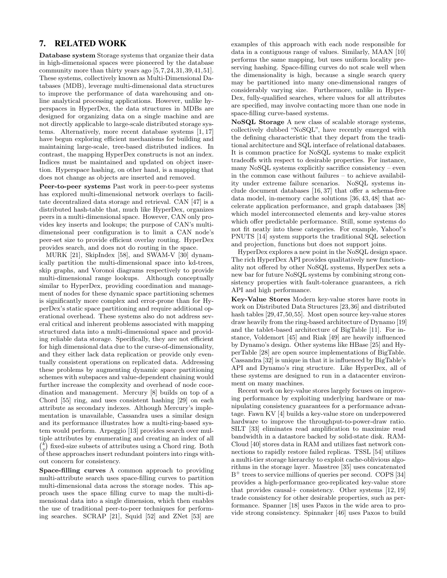## 7. RELATED WORK

Database system Storage systems that organize their data in high-dimensional spaces were pioneered by the database community more than thirty years ago [5,7,24,31,39,41,51]. These systems, collectively known as Multi-Dimensional Databases (MDB), leverage multi-dimensional data structures to improve the performance of data warehousing and online analytical processing applications. However, unlike hyperspaces in HyperDex, the data structures in MDBs are designed for organizing data on a single machine and are not directly applicable to large-scale distributed storage systems. Alternatively, more recent database systems [1, 17] have begun exploring efficient mechanisms for building and maintaining large-scale, tree-based distributed indices. In contrast, the mapping HyperDex constructs is not an index. Indices must be maintained and updated on object insertion. Hyperspace hashing, on other hand, is a mapping that does not change as objects are inserted and removed.

Peer-to-peer systems Past work in peer-to-peer systems has explored multi-dimensional network overlays to facilitate decentralized data storage and retrieval. CAN [47] is a distributed hash-table that, much like HyperDex, organizes peers in a multi-dimensional space. However, CAN only provides key inserts and lookups; the purpose of CAN's multidimensional peer configuration is to limit a CAN node's peer-set size to provide efficient overlay routing. HyperDex provides search, and does not do routing in the space.

MURK [21], SkipIndex [58], and SWAM-V [30] dynamically partition the multi-dimensional space into kd-trees, skip graphs, and Voronoi diagrams respectively to provide multi-dimensional range lookups. Although conceptually similar to HyperDex, providing coordination and management of nodes for these dynamic space partitioning schemes is significantly more complex and error-prone than for HyperDex's static space partitioning and require additional operational overhead. These systems also do not address several critical and inherent problems associated with mapping structured data into a multi-dimensional space and providing reliable data storage. Specifically, they are not efficient for high dimensional data due to the curse-of-dimensionality, and they either lack data replication or provide only eventually consistent operations on replicated data. Addressing these problems by augmenting dynamic space partitioning schemes with subspaces and value-dependent chaining would further increase the complexity and overhead of node coordination and management. Mercury [8] builds on top of a Chord [55] ring, and uses consistent hashing [29] on each attribute as secondary indexes. Although Mercury's implementation is unavailable, Cassandra uses a similar design and its performance illustrates how a multi-ring-based system would perform. Arpeggio [13] provides search over multiple attributes by enumerating and creating an index of all  $\binom{\bar{k}}{x}$  fixed-size subsets of attributes using a Chord ring. Both of these approaches insert redundant pointers into rings without concern for consistency.

Space-filling curves A common approach to providing multi-attribute search uses space-filling curves to partition multi-dimensional data across the storage nodes. This approach uses the space filling curve to map the multi-dimensional data into a single dimension, which then enables the use of traditional peer-to-peer techniques for performing searches. SCRAP [21], Squid [52] and ZNet [53] are examples of this approach with each node responsible for data in a contiguous range of values. Similarly, MAAN [10] performs the same mapping, but uses uniform locality preserving hashing. Space-filling curves do not scale well when the dimensionality is high, because a single search query may be partitioned into many one-dimensional ranges of considerably varying size. Furthermore, unlike in Hyper-Dex, fully-qualified searches, where values for all attributes are specified, may involve contacting more than one node in space-filling curve-based systems.

NoSQL Storage A new class of scalable storage systems, collectively dubbed "NoSQL", have recently emerged with the defining characteristic that they depart from the traditional architecture and SQL interface of relational databases. It is common practice for NoSQL systems to make explicit tradeoffs with respect to desirable properties. For instance, many NoSQL systems explicitly sacrifice consistency – even in the common case without failures – to achieve availability under extreme failure scenarios. NoSQL systems include document databases [16, 37] that offer a schema-free data model, in-memory cache solutions [36, 43, 48] that accelerate application performance, and graph databases [38] which model interconnected elements and key-value stores which offer predictable performance. Still, some systems do not fit neatly into these categories. For example, Yahoo!'s PNUTS [14] system supports the traditional SQL selection and projection, functions but does not support joins.

HyperDex explores a new point in the NoSQL design space. The rich HyperDex API provides qualitatively new functionality not offered by other NoSQL systems, HyperDex sets a new bar for future NoSQL systems by combining strong consistency properties with fault-tolerance guarantees, a rich API and high performance.

Key-Value Stores Modern key-value stores have roots in work on Distributed Data Structures [23,36] and distributed hash tables [29,47,50,55]. Most open source key-value stores draw heavily from the ring-based architecture of Dynamo [19] and the tablet-based architecture of BigTable [11]. For instance, Voldemort [45] and Riak [49] are heavily influenced by Dynamo's design. Other systems like HBase [25] and HyperTable [28] are open source implementations of BigTable. Cassandra [32] is unique in that it is influenced by BigTable's API and Dynamo's ring structure. Like HyperDex, all of these systems are designed to run in a datacenter environment on many machines.

Recent work on key-value stores largely focuses on improving performance by exploiting underlying hardware or manipulating consistency guarantees for a performance advantage. Fawn KV [4] builds a key-value store on underpowered hardware to improve the throughput-to-power-draw ratio. SILT [33] eliminates read amplification to maximize read bandwidth in a datastore backed by solid-state disk. RAM-Cloud [40] stores data in RAM and utilizes fast network connections to rapidly restore failed replicas. TSSL [54] utilizes a multi-tier storage hierarchy to exploit cache-oblivious algorithms in the storage layer. Masstree [35] uses concatenated B <sup>+</sup> trees to service millions of queries per second. COPS [34] provides a high-performance geo-replicated key-value store that provides causal+ consistency. Other systems [12, 19] trade consistency for other desirable properties, such as performance. Spanner [18] uses Paxos in the wide area to provide strong consistency. Spinnaker [46] uses Paxos to build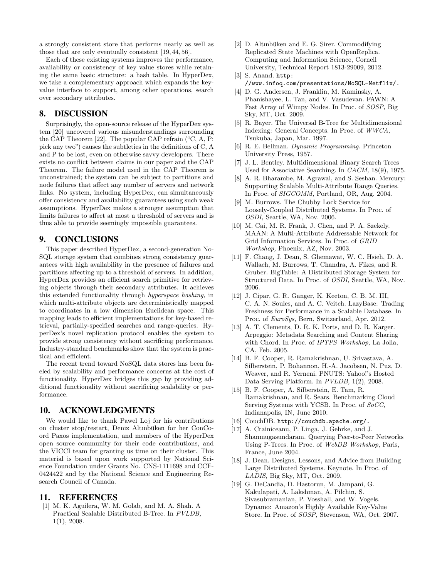a strongly consistent store that performs nearly as well as those that are only eventually consistent [19, 44, 56].

Each of these existing systems improves the performance, availability or consistency of key value stores while retaining the same basic structure: a hash table. In HyperDex, we take a complementary approach which expands the keyvalue interface to support, among other operations, search over secondary attributes.

## 8. DISCUSSION

Surprisingly, the open-source release of the HyperDex system [20] uncovered various misunderstandings surrounding the CAP Theorem [22]. The popular CAP refrain ("C, A, P: pick any two") causes the subtleties in the definitions of C, A and P to be lost, even on otherwise savvy developers. There exists no conflict between claims in our paper and the CAP Theorem. The failure model used in the CAP Theorem is unconstrained; the system can be subject to partitions and node failures that affect any number of servers and network links. No system, including HyperDex, can simultaneously offer consistency and availability guarantees using such weak assumptions. HyperDex makes a stronger assumption that limits failures to affect at most a threshold of servers and is thus able to provide seemingly impossible guarantees.

## 9. CONCLUSIONS

This paper described HyperDex, a second-generation No-SQL storage system that combines strong consistency guarantees with high availability in the presence of failures and partitions affecting up to a threshold of servers. In addition, HyperDex provides an efficient search primitive for retrieving objects through their secondary attributes. It achieves this extended functionality through hyperspace hashing, in which multi-attribute objects are deterministically mapped to coordinates in a low dimension Euclidean space. This mapping leads to efficient implementations for key-based retrieval, partially-specified searches and range-queries. HyperDex's novel replication protocol enables the system to provide strong consistency without sacrificing performance. Industry-standard benchmarks show that the system is practical and efficient.

The recent trend toward NoSQL data stores has been fueled by scalability and performance concerns at the cost of functionality. HyperDex bridges this gap by providing additional functionality without sacrificing scalability or performance.

## 10. ACKNOWLEDGMENTS

We would like to thank Pawel Loj for his contributions on cluster stop/restart, Deniz Altınbüken for her ConCoord Paxos implementation, and members of the HyperDex open source community for their code contributions, and the VICCI team for granting us time on their cluster. This material is based upon work supported by National Science Foundation under Grants No. CNS-1111698 and CCF-0424422 and by the National Science and Engineering Research Council of Canada.

#### 11. REFERENCES

[1] M. K. Aguilera, W. M. Golab, and M. A. Shah. A Practical Scalable Distributed B-Tree. In PVLDB, 1(1), 2008.

- $[2]$  D. Altınbüken and E. G. Sirer. Commodifying Replicated State Machines with OpenReplica. Computing and Information Science, Cornell University, Technical Report 1813-29009, 2012.
- [3] S. Anand. http: //www.infoq.com/presentations/NoSQL-Netflix/.
- [4] D. G. Andersen, J. Franklin, M. Kaminsky, A. Phanishayee, L. Tan, and V. Vasudevan. FAWN: A Fast Array of Wimpy Nodes. In Proc. of SOSP, Big Sky, MT, Oct. 2009.
- [5] R. Bayer. The Universal B-Tree for Multidimensional Indexing: General Concepts. In Proc. of WWCA, Tsukuba, Japan, Mar. 1997.
- [6] R. E. Bellman. Dynamic Programming. Princeton University Press, 1957.
- [7] J. L. Bentley. Multidimensional Binary Search Trees Used for Associative Searching. In CACM, 18(9), 1975.
- [8] A. R. Bharambe, M. Agrawal, and S. Seshan. Mercury: Supporting Scalable Multi-Attribute Range Queries. In Proc. of SIGCOMM, Portland, OR, Aug. 2004.
- [9] M. Burrows. The Chubby Lock Service for Loosely-Coupled Distributed Systems. In Proc. of OSDI, Seattle, WA, Nov. 2006.
- [10] M. Cai, M. R. Frank, J. Chen, and P. A. Szekely. MAAN: A Multi-Attribute Addressable Network for Grid Information Services. In Proc. of GRID Workshop, Phoenix, AZ, Nov. 2003.
- [11] F. Chang, J. Dean, S. Ghemawat, W. C. Hsieh, D. A. Wallach, M. Burrows, T. Chandra, A. Fikes, and R. Gruber. BigTable: A Distributed Storage System for Structured Data. In Proc. of OSDI, Seattle, WA, Nov. 2006.
- [12] J. Cipar, G. R. Ganger, K. Keeton, C. B. M. III, C. A. N. Soules, and A. C. Veitch. LazyBase: Trading Freshness for Performance in a Scalable Database. In Proc. of EuroSys, Bern, Switzerland, Apr. 2012.
- [13] A. T. Clements, D. R. K. Ports, and D. R. Karger. Arpeggio: Metadata Searching and Content Sharing with Chord. In Proc. of IPTPS Workshop, La Jolla, CA, Feb. 2005.
- [14] B. F. Cooper, R. Ramakrishnan, U. Srivastava, A. Silberstein, P. Bohannon, H.-A. Jacobsen, N. Puz, D. Weaver, and R. Yerneni. PNUTS: Yahoo!'s Hosted Data Serving Platform. In PVLDB, 1(2), 2008.
- [15] B. F. Cooper, A. Silberstein, E. Tam, R. Ramakrishnan, and R. Sears. Benchmarking Cloud Serving Systems with YCSB. In Proc. of SoCC, Indianapolis, IN, June 2010.
- [16] CouchDB. http://couchdb.apache.org/.
- [17] A. Crainiceanu, P. Linga, J. Gehrke, and J. Shanmugasundaram. Querying Peer-to-Peer Networks Using P-Trees. In Proc. of WebDB Workshop, Paris, France, June 2004.
- [18] J. Dean. Designs, Lessons, and Advice from Building Large Distributed Systems. Keynote. In Proc. of LADIS, Big Sky, MT, Oct. 2009.
- [19] G. DeCandia, D. Hastorun, M. Jampani, G. Kakulapati, A. Lakshman, A. Pilchin, S. Sivasubramanian, P. Vosshall, and W. Vogels. Dynamo: Amazon's Highly Available Key-Value Store. In Proc. of SOSP, Stevenson, WA, Oct. 2007.